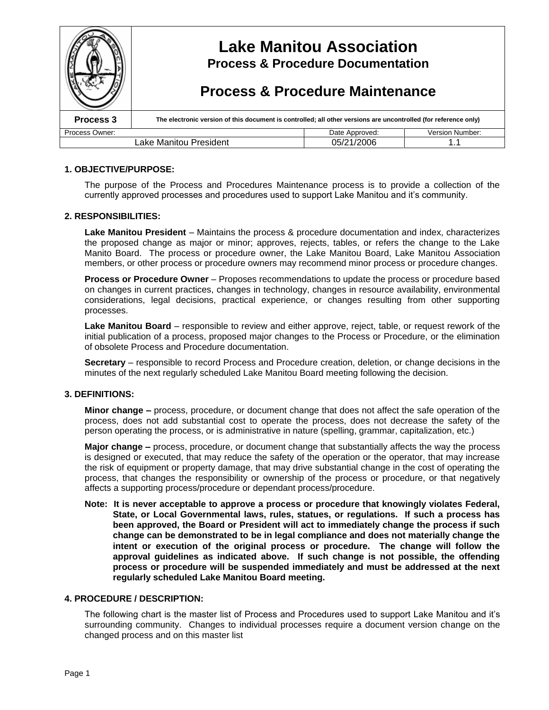

### **1. OBJECTIVE/PURPOSE:**

The purpose of the Process and Procedures Maintenance process is to provide a collection of the currently approved processes and procedures used to support Lake Manitou and it's community.

### **2. RESPONSIBILITIES:**

Lake Manitou President – Maintains the process & procedure documentation and index, characterizes the proposed change as major or minor; approves, rejects, tables, or refers the change to the Lake Manito Board. The process or procedure owner, the Lake Manitou Board, Lake Manitou Association members, or other process or procedure owners may recommend minor process or procedure changes.

**Process or Procedure Owner** – Proposes recommendations to update the process or procedure based on changes in current practices, changes in technology, changes in resource availability, environmental considerations, legal decisions, practical experience, or changes resulting from other supporting processes.

**Lake Manitou Board** – responsible to review and either approve, reject, table, or request rework of the initial publication of a process, proposed major changes to the Process or Procedure, or the elimination of obsolete Process and Procedure documentation.

**Secretary** – responsible to record Process and Procedure creation, deletion, or change decisions in the minutes of the next regularly scheduled Lake Manitou Board meeting following the decision.

### **3. DEFINITIONS:**

**Minor change –**process, procedure, or document change that does not affect the safe operation of the process, does not add substantial cost to operate the process, does not decrease the safety of the person operating the process, or is administrative in nature (spelling, grammar, capitalization, etc.)

**Major change –**process, procedure, or document change that substantially affects the way the process is designed or executed, that may reduce the safety of the operation or the operator, that may increase the risk of equipment or property damage, that may drive substantial change in the cost of operating the process, that changes the responsibility or ownership of the process or procedure, or that negatively affects a supporting process/procedure or dependant process/procedure.

**Note: It is never acceptable to approve a process or procedure that knowingly violates Federal, State, or Local Governmental laws, rules, statues, or regulations. If such a process has been approved, the Board or President will act to immediately change the process if such change can be demonstrated to be in legal compliance and does not materially change the intent or execution of the original process or procedure. The change will follow the approval guidelines as indicated above. If such change is not possible, the offending process or procedure will be suspended immediately and must be addressed at the next regularly scheduled Lake Manitou Board meeting.**

#### **4. PROCEDURE / DESCRIPTION:**

The following chart is the master list of Process and Procedures used to support Lake Manitou and it's surrounding community. Changes to individual processes require a document version change on the changed process and on this master list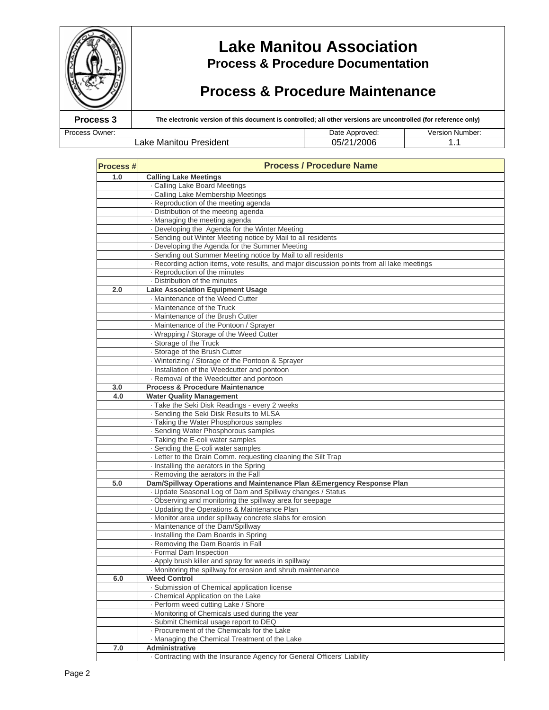

# **Lake Manitou Association Process & Procedure Documentation**

# **Process & Procedure Maintenance**

**Process 3 The electronic version of this document is controlled; all other versions are uncontrolled (for reference only)** 

Process Owner: Network and Date Approved: Version Number: Lake Manitou President 1.1

| <b>Process#</b> | <b>Process / Procedure Name</b>                                                               |  |  |  |  |  |
|-----------------|-----------------------------------------------------------------------------------------------|--|--|--|--|--|
| 1.0             | <b>Calling Lake Meetings</b>                                                                  |  |  |  |  |  |
|                 | . Calling Lake Board Meetings                                                                 |  |  |  |  |  |
|                 | . Calling Lake Membership Meetings                                                            |  |  |  |  |  |
|                 | Reproduction of the meeting agenda                                                            |  |  |  |  |  |
|                 | · Distribution of the meeting agenda                                                          |  |  |  |  |  |
|                 | · Managing the meeting agenda                                                                 |  |  |  |  |  |
|                 | . Developing the Agenda for the Winter Meeting                                                |  |  |  |  |  |
|                 | - Sending out Winter Meeting notice by Mail to all residents                                  |  |  |  |  |  |
|                 | - Developing the Agenda for the Summer Meeting                                                |  |  |  |  |  |
|                 | · Sending out Summer Meeting notice by Mail to all residents                                  |  |  |  |  |  |
|                 | · Recording action items, vote results, and major discussion points from all lake meetings    |  |  |  |  |  |
|                 | - Reproduction of the minutes                                                                 |  |  |  |  |  |
|                 | - Distribution of the minutes                                                                 |  |  |  |  |  |
| 2.0             | <b>Lake Association Equipment Usage</b>                                                       |  |  |  |  |  |
|                 | · Maintenance of the Weed Cutter                                                              |  |  |  |  |  |
|                 | · Maintenance of the Truck                                                                    |  |  |  |  |  |
|                 | · Maintenance of the Brush Cutter                                                             |  |  |  |  |  |
|                 | · Maintenance of the Pontoon / Sprayer                                                        |  |  |  |  |  |
|                 | · Wrapping / Storage of the Weed Cutter                                                       |  |  |  |  |  |
|                 | · Storage of the Truck                                                                        |  |  |  |  |  |
|                 | · Storage of the Brush Cutter                                                                 |  |  |  |  |  |
|                 | - Winterizing / Storage of the Pontoon & Sprayer                                              |  |  |  |  |  |
|                 | · Installation of the Weedcutter and pontoon                                                  |  |  |  |  |  |
|                 | - Removal of the Weedcutter and pontoon                                                       |  |  |  |  |  |
| 3.0             | <b>Process &amp; Procedure Maintenance</b>                                                    |  |  |  |  |  |
| 4.0             | <b>Water Quality Management</b>                                                               |  |  |  |  |  |
|                 | · Take the Seki Disk Readings - every 2 weeks                                                 |  |  |  |  |  |
|                 | - Sending the Seki Disk Results to MLSA                                                       |  |  |  |  |  |
|                 | · Taking the Water Phosphorous samples                                                        |  |  |  |  |  |
|                 | · Sending Water Phosphorous samples                                                           |  |  |  |  |  |
|                 | - Taking the E-coli water samples                                                             |  |  |  |  |  |
|                 | Sending the E-coli water samples                                                              |  |  |  |  |  |
|                 | · Letter to the Drain Comm. requesting cleaning the Silt Trap                                 |  |  |  |  |  |
|                 | Installing the aerators in the Spring                                                         |  |  |  |  |  |
|                 | Removing the aerators in the Fall                                                             |  |  |  |  |  |
| 5.0             | Dam/Spillway Operations and Maintenance Plan & Emergency Response Plan                        |  |  |  |  |  |
|                 | - Update Seasonal Log of Dam and Spillway changes / Status                                    |  |  |  |  |  |
|                 | . Observing and monitoring the spillway area for seepage                                      |  |  |  |  |  |
|                 | · Updating the Operations & Maintenance Plan                                                  |  |  |  |  |  |
|                 | · Monitor area under spillway concrete slabs for erosion<br>· Maintenance of the Dam/Spillway |  |  |  |  |  |
|                 | · Installing the Dam Boards in Spring                                                         |  |  |  |  |  |
|                 | - Removing the Dam Boards in Fall                                                             |  |  |  |  |  |
|                 |                                                                                               |  |  |  |  |  |
|                 | · Formal Dam Inspection<br>. Apply brush killer and spray for weeds in spillway               |  |  |  |  |  |
|                 | . Monitoring the spillway for erosion and shrub maintenance                                   |  |  |  |  |  |
| 6.0             | <b>Weed Control</b>                                                                           |  |  |  |  |  |
|                 | - Submission of Chemical application license                                                  |  |  |  |  |  |
|                 | - Chemical Application on the Lake                                                            |  |  |  |  |  |
|                 | - Perform weed cutting Lake / Shore                                                           |  |  |  |  |  |
|                 | · Monitoring of Chemicals used during the year                                                |  |  |  |  |  |
|                 | - Submit Chemical usage report to DEQ                                                         |  |  |  |  |  |
|                 | - Procurement of the Chemicals for the Lake                                                   |  |  |  |  |  |
|                 | - Managing the Chemical Treatment of the Lake                                                 |  |  |  |  |  |
| 7.0             | Administrative                                                                                |  |  |  |  |  |
|                 | · Contracting with the Insurance Agency for General Officers' Liability                       |  |  |  |  |  |
|                 |                                                                                               |  |  |  |  |  |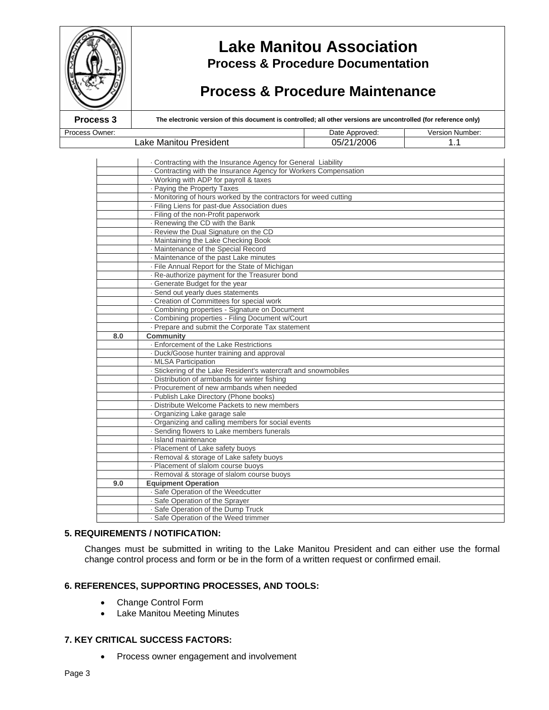

# **Lake Manitou Association Process & Procedure Documentation**

# **Process & Procedure Maintenance**

**Process 3 The electronic version of this document is controlled; all other versions are uncontrolled (for reference only)** 

Process Owner: **Date Approved:** Date Approved: Version Number: Lake Manitou President 1.1 (05/21/2006 1.1)

|     | . Contracting with the Insurance Agency for General Liability              |  |  |  |  |  |
|-----|----------------------------------------------------------------------------|--|--|--|--|--|
|     | . Contracting with the Insurance Agency for Workers Compensation           |  |  |  |  |  |
|     | · Working with ADP for payroll & taxes                                     |  |  |  |  |  |
|     | · Paying the Property Taxes                                                |  |  |  |  |  |
|     | · Monitoring of hours worked by the contractors for weed cutting           |  |  |  |  |  |
|     | · Filing Liens for past-due Association dues                               |  |  |  |  |  |
|     | · Filing of the non-Profit paperwork                                       |  |  |  |  |  |
|     | - Renewing the CD with the Bank                                            |  |  |  |  |  |
|     | - Review the Dual Signature on the CD                                      |  |  |  |  |  |
|     | - Maintaining the Lake Checking Book                                       |  |  |  |  |  |
|     | · Maintenance of the Special Record                                        |  |  |  |  |  |
|     | Maintenance of the past Lake minutes                                       |  |  |  |  |  |
|     | - File Annual Report for the State of Michigan                             |  |  |  |  |  |
|     | - Re-authorize payment for the Treasurer bond                              |  |  |  |  |  |
|     | Generate Budget for the year                                               |  |  |  |  |  |
|     | · Send out yearly dues statements                                          |  |  |  |  |  |
|     | - Creation of Committees for special work                                  |  |  |  |  |  |
|     | Combining properties - Signature on Document                               |  |  |  |  |  |
|     | - Combining properties - Filing Document w/Court                           |  |  |  |  |  |
|     | - Prepare and submit the Corporate Tax statement                           |  |  |  |  |  |
| 8.0 | <b>Community</b>                                                           |  |  |  |  |  |
|     | - Enforcement of the Lake Restrictions                                     |  |  |  |  |  |
|     | · Duck/Goose hunter training and approval                                  |  |  |  |  |  |
|     | · MLSA Participation                                                       |  |  |  |  |  |
|     | · Stickering of the Lake Resident's watercraft and snowmobiles             |  |  |  |  |  |
|     | Distribution of armbands for winter fishing                                |  |  |  |  |  |
|     | - Procurement of new armbands when needed                                  |  |  |  |  |  |
|     | - Publish Lake Directory (Phone books)                                     |  |  |  |  |  |
|     | - Distribute Welcome Packets to new members                                |  |  |  |  |  |
|     | · Organizing Lake garage sale                                              |  |  |  |  |  |
|     | Organizing and calling members for social events                           |  |  |  |  |  |
|     | - Sending flowers to Lake members funerals                                 |  |  |  |  |  |
|     | · Island maintenance                                                       |  |  |  |  |  |
|     | - Placement of Lake safety buoys                                           |  |  |  |  |  |
|     | - Removal & storage of Lake safety buoys                                   |  |  |  |  |  |
|     | - Placement of slalom course buoys                                         |  |  |  |  |  |
|     | - Removal & storage of slalom course buoys                                 |  |  |  |  |  |
| 9.0 | <b>Equipment Operation</b>                                                 |  |  |  |  |  |
|     | · Safe Operation of the Weedcutter                                         |  |  |  |  |  |
|     | · Safe Operation of the Sprayer                                            |  |  |  |  |  |
|     |                                                                            |  |  |  |  |  |
|     | · Safe Operation of the Dump Truck<br>- Safe Operation of the Weed trimmer |  |  |  |  |  |

### **5. REQUIREMENTS / NOTIFICATION:**

Changes must be submitted in writing to the Lake Manitou President and can either use the formal change control process and form or be in the form of a written request or confirmed email.

### **6. REFERENCES, SUPPORTING PROCESSES, AND TOOLS:**

- Change Control Form
- Lake Manitou Meeting Minutes

### **7. KEY CRITICAL SUCCESS FACTORS:**

Process owner engagement and involvement